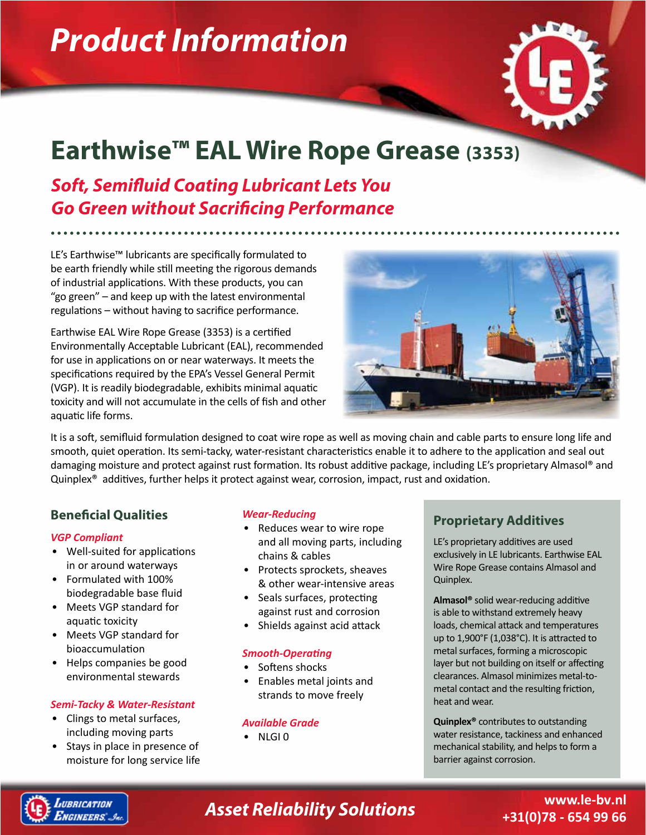# *Product Information*



## **Earthwise™ EAL Wire Rope Grease (3353)**

*Soft, Semifluid Coating Lubricant Lets You Go Green without Sacrificing Performance*

LE's Earthwise™ lubricants are specifically formulated to be earth friendly while still meeting the rigorous demands of industrial applications. With these products, you can "go green" – and keep up with the latest environmental regulations – without having to sacrifice performance.

Earthwise EAL Wire Rope Grease (3353) is a certified Environmentally Acceptable Lubricant (EAL), recommended for use in applications on or near waterways. It meets the specifications required by the EPA's Vessel General Permit (VGP). It is readily biodegradable, exhibits minimal aquatic toxicity and will not accumulate in the cells of fish and other aquatic life forms.



It is a soft, semifluid formulation designed to coat wire rope as well as moving chain and cable parts to ensure long life and smooth, quiet operation. Its semi-tacky, water-resistant characteristics enable it to adhere to the application and seal out damaging moisture and protect against rust formation. Its robust additive package, including LE's proprietary Almasol® and Quinplex® additives, further helps it protect against wear, corrosion, impact, rust and oxidation.

#### **Beneficial Qualities**

#### *VGP Compliant*

- Well-suited for applications in or around waterways
- Formulated with 100% biodegradable base fluid
- Meets VGP standard for aquatic toxicity
- Meets VGP standard for bioaccumulation
- Helps companies be good environmental stewards

#### *Semi-Tacky & Water-Resistant*

- Clings to metal surfaces, including moving parts
- Stays in place in presence of moisture for long service life

#### *Wear-Reducing*

- Reduces wear to wire rope and all moving parts, including chains & cables
- Protects sprockets, sheaves & other wear-intensive areas
- Seals surfaces, protecting against rust and corrosion
- Shields against acid attack

#### *Smooth-Operating*

- Softens shocks
- Enables metal joints and strands to move freely

#### *Available Grade*

• NLGI 0

#### **Proprietary Additives**

LE's proprietary additives are used exclusively in LE lubricants. Earthwise EAL Wire Rope Grease contains Almasol and Quinplex.

**Almasol®** solid wear-reducing additive is able to withstand extremely heavy loads, chemical attack and temperatures up to 1,900°F (1,038°C). It is attracted to metal surfaces, forming a microscopic layer but not building on itself or affecting clearances. Almasol minimizes metal-tometal contact and the resulting friction, heat and wear.

**Quinplex®** contributes to outstanding water resistance, tackiness and enhanced mechanical stability, and helps to form a barrier against corrosion.



### *Asset Reliability Solutions*

**www.le-bv.nl +31(0)78 - 654 99 66**